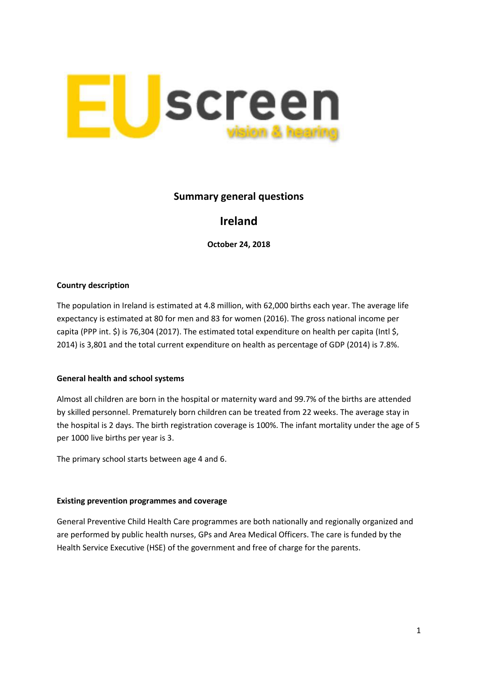

# **Summary general questions**

# **Ireland**

**October 24, 2018**

### **Country description**

The population in Ireland is estimated at 4.8 million, with 62,000 births each year. The average life expectancy is estimated at 80 for men and 83 for women (2016). The gross national income per capita (PPP int. \$) is 76,304 (2017). The estimated total expenditure on health per capita (Intl \$, 2014) is 3,801 and the total current expenditure on health as percentage of GDP (2014) is 7.8%.

#### **General health and school systems**

Almost all children are born in the hospital or maternity ward and 99.7% of the births are attended by skilled personnel. Prematurely born children can be treated from 22 weeks. The average stay in the hospital is 2 days. The birth registration coverage is 100%. The infant mortality under the age of 5 per 1000 live births per year is 3.

The primary school starts between age 4 and 6.

#### **Existing prevention programmes and coverage**

General Preventive Child Health Care programmes are both nationally and regionally organized and are performed by public health nurses, GPs and Area Medical Officers. The care is funded by the Health Service Executive (HSE) of the government and free of charge for the parents.